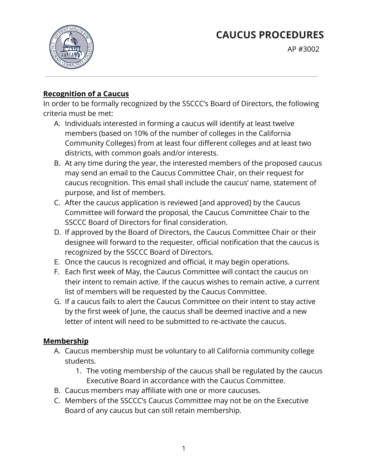# **CAUCUS PROCEDURES**



AP #3002

# **Recognition of a Caucus**

In order to be formally recognized by the SSCCC's Board of Directors, the following criteria must be met:

- A. Individuals interested in forming a caucus will identify at least twelve members (based on 10% of the number of colleges in the California Community Colleges) from at least four different colleges and at least two districts, with common goals and/or interests.
- B. At any time during the year, the interested members of the proposed caucus may send an email to the Caucus Committee Chair, on their request for caucus recognition. This email shall include the caucus' name, statement of purpose, and list of members.
- C. After the caucus application is reviewed [and approved] by the Caucus Committee will forward the proposal, the Caucus Committee Chair to the SSCCC Board of Directors for final consideration.
- D. If approved by the Board of Directors, the Caucus Committee Chair or their designee will forward to the requester, official notification that the caucus is recognized by the SSCCC Board of Directors.
- E. Once the caucus is recognized and official, it may begin operations.
- F. Each first week of May, the Caucus Committee will contact the caucus on their intent to remain active. If the caucus wishes to remain active, a current list of members will be requested by the Caucus Committee.
- G. If a caucus fails to alert the Caucus Committee on their intent to stay active by the first week of June, the caucus shall be deemed inactive and a new letter of intent will need to be submitted to re-activate the caucus.

## **Membership**

- A. Caucus membership must be voluntary to all California community college students.
	- 1. The voting membership of the caucus shall be regulated by the caucus Executive Board in accordance with the Caucus Committee.
- B. Caucus members may affiliate with one or more caucuses.
- C. Members of the SSCCC's Caucus Committee may not be on the Executive Board of any caucus but can still retain membership.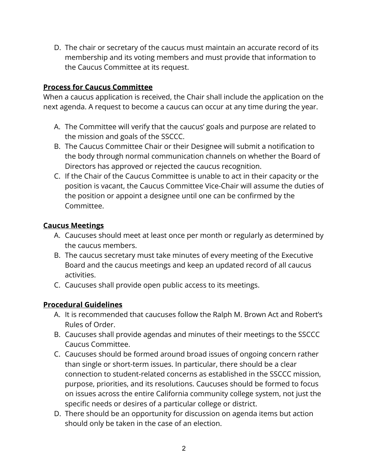D. The chair or secretary of the caucus must maintain an accurate record of its membership and its voting members and must provide that information to the Caucus Committee at its request.

## **Process for Caucus Committee**

When a caucus application is received, the Chair shall include the application on the next agenda. A request to become a caucus can occur at any time during the year.

- A. The Committee will verify that the caucus' goals and purpose are related to the mission and goals of the SSCCC.
- B. The Caucus Committee Chair or their Designee will submit a notification to the body through normal communication channels on whether the Board of Directors has approved or rejected the caucus recognition.
- C. If the Chair of the Caucus Committee is unable to act in their capacity or the position is vacant, the Caucus Committee Vice-Chair will assume the duties of the position or appoint a designee until one can be confirmed by the Committee.

## **Caucus Meetings**

- A. Caucuses should meet at least once per month or regularly as determined by the caucus members.
- B. The caucus secretary must take minutes of every meeting of the Executive Board and the caucus meetings and keep an updated record of all caucus activities.
- C. Caucuses shall provide open public access to its meetings.

## **Procedural Guidelines**

- A. It is recommended that caucuses follow the Ralph M. Brown Act and Robert's Rules of Order.
- B. Caucuses shall provide agendas and minutes of their meetings to the SSCCC Caucus Committee.
- C. Caucuses should be formed around broad issues of ongoing concern rather than single or short-term issues. In particular, there should be a clear connection to student-related concerns as established in the SSCCC mission, purpose, priorities, and its resolutions. Caucuses should be formed to focus on issues across the entire California community college system, not just the specific needs or desires of a particular college or district.
- D. There should be an opportunity for discussion on agenda items but action should only be taken in the case of an election.